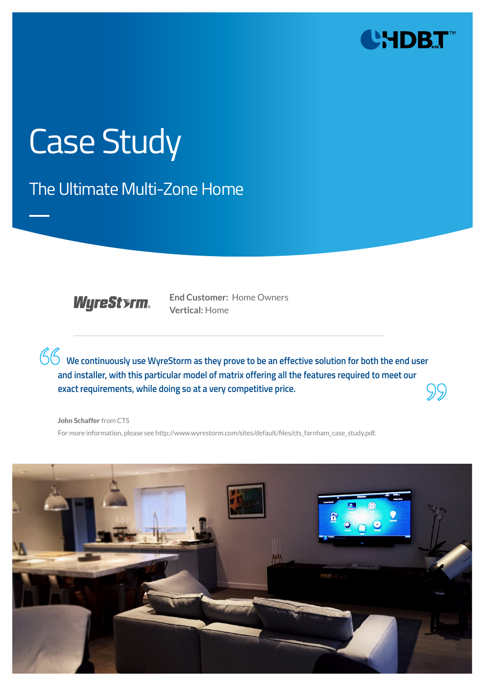

# Case Study

The Ultimate Multi-Zone Home



**End Customer:** Home Owners **Vertical:** Home

**We continuously use WyreStorm as they prove to be an effective solution for both the end user and installer, with this particular model of matrix offering all the features required to meet our exact requirements, while doing so at a very competitive price.**

John Schaffer from CTS For more information, please see http://www.wyrestorm.com/sites/default/files/cts\_farnham\_case\_study.pdf.